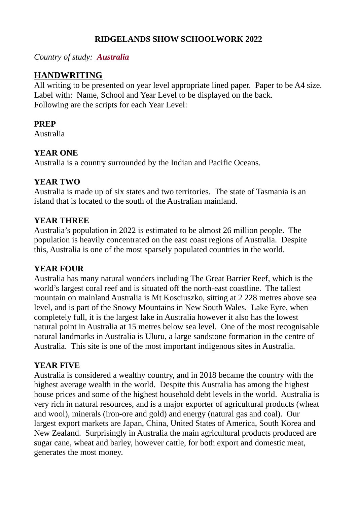# **RIDGELANDS SHOW SCHOOLWORK 2022**

## *Country of study: Australia*

## **HANDWRITING**

All writing to be presented on year level appropriate lined paper. Paper to be A4 size. Label with: Name, School and Year Level to be displayed on the back. Following are the scripts for each Year Level:

#### **PREP**

Australia

## **YEAR ONE**

Australia is a country surrounded by the Indian and Pacific Oceans.

#### **YEAR TWO**

Australia is made up of six states and two territories. The state of Tasmania is an island that is located to the south of the Australian mainland.

## **YEAR THREE**

Australia's population in 2022 is estimated to be almost 26 million people. The population is heavily concentrated on the east coast regions of Australia. Despite this, Australia is one of the most sparsely populated countries in the world.

#### **YEAR FOUR**

Australia has many natural wonders including The Great Barrier Reef, which is the world's largest coral reef and is situated off the north-east coastline. The tallest mountain on mainland Australia is Mt Kosciuszko, sitting at 2 228 metres above sea level, and is part of the Snowy Mountains in New South Wales. Lake Eyre, when completely full, it is the largest lake in Australia however it also has the lowest natural point in Australia at 15 metres below sea level. One of the most recognisable natural landmarks in Australia is Uluru, a large sandstone formation in the centre of Australia. This site is one of the most important indigenous sites in Australia.

## **YEAR FIVE**

Australia is considered a wealthy country, and in 2018 became the country with the highest average wealth in the world. Despite this Australia has among the highest house prices and some of the highest household debt levels in the world. Australia is very rich in natural resources, and is a major exporter of agricultural products (wheat and wool), minerals (iron-ore and gold) and energy (natural gas and coal). Our largest export markets are Japan, China, United States of America, South Korea and New Zealand. Surprisingly in Australia the main agricultural products produced are sugar cane, wheat and barley, however cattle, for both export and domestic meat, generates the most money.